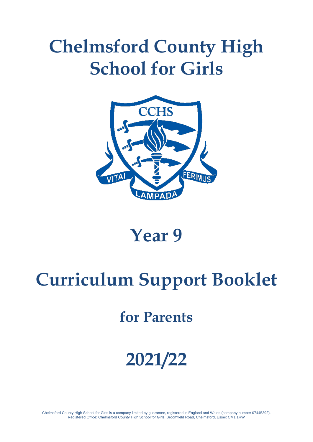# **Chelmsford County High School for Girls**



## **Year 9**

# **Curriculum Support Booklet**

## **for Parents**

# **2021/22**

Chelmsford County High School for Girls is a company limited by guarantee, registered in England and Wales (company number 07445392). Registered Office: Chelmsford County High School for Girls, Broomfield Road, Chelmsford, Essex CM1 1RW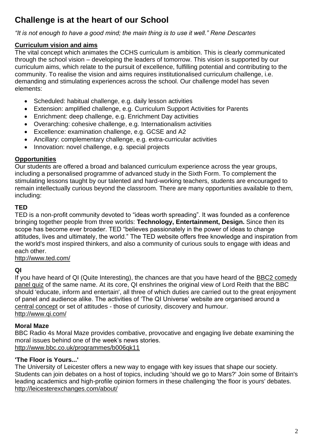## **Challenge is at the heart of our School**

*"It is not enough to have a good mind; the main thing is to use it well." Rene Descartes*

#### **Curriculum vision and aims**

The vital concept which animates the CCHS curriculum is ambition. This is clearly communicated through the school vision – developing the leaders of tomorrow. This vision is supported by our curriculum aims, which relate to the pursuit of excellence, fulfilling potential and contributing to the community. To realise the vision and aims requires institutionalised curriculum challenge, i.e. demanding and stimulating experiences across the school. Our challenge model has seven elements:

- Scheduled: habitual challenge, e.g. daily lesson activities
- Extension: amplified challenge, e.g. Curriculum Support Activities for Parents
- Enrichment: deep challenge, e.g. Enrichment Day activities
- Overarching: cohesive challenge, e.g. Internationalism activities
- Excellence: examination challenge, e.g. GCSE and A2
- Ancillary: complementary challenge, e.g. extra-curricular activities
- Innovation: novel challenge, e.g. special projects

#### **Opportunities**

Our students are offered a broad and balanced curriculum experience across the year groups, including a personalised programme of advanced study in the Sixth Form. To complement the stimulating lessons taught by our talented and hard-working teachers, students are encouraged to remain intellectually curious beyond the classroom. There are many opportunities available to them, including:

#### **TED**

TED is a non-profit community devoted to "ideas worth spreading". It was founded as a conference bringing together people from three worlds: **Technology, Entertainment, Design.** Since then its scope has become ever broader. TED "believes passionately in the power of ideas to change attitudes, lives and ultimately, the world." The TED website offers free knowledge and inspiration from the world's most inspired thinkers, and also a community of curious souls to engage with ideas and each other.

<http://www.ted.com/>

#### **QI**

If you have heard of QI (Quite Interesting), the chances are that you have heard of the **BBC2** comedy [panel quiz](http://old.qi.com/tv) of the same name. At its core, QI enshrines the original view of Lord Reith that the BBC should 'educate, inform and entertain', all three of which duties are carried out to the great enjoyment of panel and audience alike. The activities of 'The QI Universe' website are organised around a [central concept](http://old.qi.com/about/philosophy.php) or set of attitudes - those of curiosity, discovery and humour. <http://www.qi.com/>

#### **Moral Maze**

BBC Radio 4s Moral Maze provides combative, provocative and engaging live debate examining the moral issues behind one of the week's news stories. <http://www.bbc.co.uk/programmes/b006qk11>

#### **'The Floor is Yours...'**

The University of Leicester offers a new way to engage with key issues that shape our society. Students can join debates on a host of topics, including 'should we go to Mars?' Join some of Britain's leading academics and high-profile opinion formers in these challenging 'the floor is yours' debates. <http://leicesterexchanges.com/about/>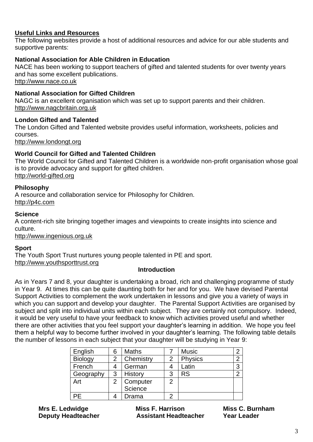#### **Useful Links and Resources**

The following websites provide a host of additional resources and advice for our able students and supportive parents:

#### **National Association for Able Children in Education**

NACE has been working to support teachers of gifted and talented students for over twenty years and has some excellent publications.

[http://www.nace.co.uk](http://www.nace.co.uk/)

#### **National Association for Gifted Children**

NAGC is an excellent organisation which was set up to support parents and their children. [http://www.nagcbritain.org.uk](http://www.nagcbritain.org.uk/)

#### **London Gifted and Talented**

The London Gifted and Talented website provides useful information, worksheets, policies and courses.

[http://www.londongt.org](http://www.londongt.org/)

#### **World Council for Gifted and Talented Children**

The World Council for Gifted and Talented Children is a worldwide non-profit organisation whose goal is to provide advocacy and support for gifted children. [http://world-gifted.org](http://world-gifted.org/)

#### **Philosophy**

A resource and collaboration service for Philosophy for Children. [http://p4c.com](http://p4c.com/)

#### **Science**

A content-rich site bringing together images and viewpoints to create insights into science and culture.

[http://www.ingenious.org.uk](http://www.ingenious.org.uk/)

#### **Sport**

The Youth Sport Trust nurtures young people talented in PE and sport. [http://www.youthsporttrust.org](http://www.youthsporttrust.org/)

#### **Introduction**

As in Years 7 and 8, your daughter is undertaking a broad, rich and challenging programme of study in Year 9. At times this can be quite daunting both for her and for you. We have devised Parental Support Activities to complement the work undertaken in lessons and give you a variety of ways in which you can support and develop your daughter. The Parental Support Activities are organised by subject and split into individual units within each subject. They are certainly not compulsory. Indeed, it would be very useful to have your feedback to know which activities proved useful and whether there are other activities that you feel support your daughter's learning in addition. We hope you feel them a helpful way to become further involved in your daughter's learning. The following table details the number of lessons in each subject that your daughter will be studying in Year 9:

| English        | 6 | <b>Maths</b>   |   | <b>Music</b>   |   |
|----------------|---|----------------|---|----------------|---|
| <b>Biology</b> |   | Chemistry      | 2 | <b>Physics</b> | ⌒ |
| French         |   | German         |   | Latin          | વ |
| Geography      | 3 | <b>History</b> | 3 | <b>RS</b>      |   |
| Art            | 2 | Computer       | 2 |                |   |
|                |   | Science        |   |                |   |
| PE.            |   | Drama          | っ |                |   |

**Mrs E. Ledwidge Miss F. Harrison Miss C. Burnham Deputy Headteacher Assistant Headteacher Year Leader**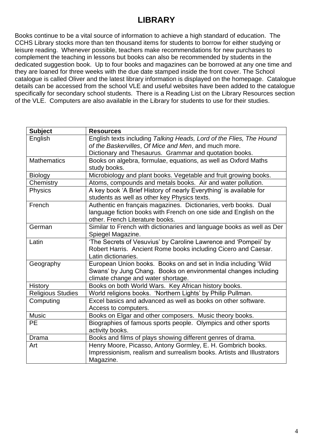## **LIBRARY**

Books continue to be a vital source of information to achieve a high standard of education. The CCHS Library stocks more than ten thousand items for students to borrow for either studying or leisure reading. Whenever possible, teachers make recommendations for new purchases to complement the teaching in lessons but books can also be recommended by students in the dedicated suggestion book. Up to four books and magazines can be borrowed at any one time and they are loaned for three weeks with the due date stamped inside the front cover. The School catalogue is called Oliver and the latest library information is displayed on the homepage. Catalogue details can be accessed from the school VLE and useful websites have been added to the catalogue specifically for secondary school students. There is a Reading List on the Library Resources section of the VLE. Computers are also available in the Library for students to use for their studies.

| <b>Subject</b>           | <b>Resources</b>                                                      |  |  |
|--------------------------|-----------------------------------------------------------------------|--|--|
| English                  | English texts including Talking Heads, Lord of the Flies, The Hound   |  |  |
|                          | of the Baskervilles, Of Mice and Men, and much more.                  |  |  |
|                          | Dictionary and Thesaurus. Grammar and quotation books.                |  |  |
| <b>Mathematics</b>       | Books on algebra, formulae, equations, as well as Oxford Maths        |  |  |
|                          | study books.                                                          |  |  |
| <b>Biology</b>           | Microbiology and plant books. Vegetable and fruit growing books.      |  |  |
| Chemistry                | Atoms, compounds and metals books. Air and water pollution.           |  |  |
| Physics                  | A key book 'A Brief History of nearly Everything' is available for    |  |  |
|                          | students as well as other key Physics texts.                          |  |  |
| French                   | Authentic en français magazines. Dictionaries, verb books. Dual       |  |  |
|                          | language fiction books with French on one side and English on the     |  |  |
|                          | other. French Literature books.                                       |  |  |
| German                   | Similar to French with dictionaries and language books as well as Der |  |  |
|                          | Spiegel Magazine.                                                     |  |  |
| Latin                    | 'The Secrets of Vesuvius' by Caroline Lawrence and 'Pompeii' by       |  |  |
|                          | Robert Harris. Ancient Rome books including Cicero and Caesar.        |  |  |
|                          | Latin dictionaries.                                                   |  |  |
| Geography                | European Union books. Books on and set in India including 'Wild       |  |  |
|                          | Swans' by Jung Chang. Books on environmental changes including        |  |  |
|                          | climate change and water shortage.                                    |  |  |
| <b>History</b>           | Books on both World Wars. Key African history books.                  |  |  |
| <b>Religious Studies</b> | World religions books. 'Northern Lights' by Philip Pullman.           |  |  |
| Computing                | Excel basics and advanced as well as books on other software.         |  |  |
|                          | Access to computers.                                                  |  |  |
| <b>Music</b>             | Books on Elgar and other composers. Music theory books.               |  |  |
| <b>PE</b>                | Biographies of famous sports people. Olympics and other sports        |  |  |
|                          | activity books.                                                       |  |  |
| Drama                    | Books and films of plays showing different genres of drama.           |  |  |
| Art                      | Henry Moore, Picasso, Antony Gormley, E. H. Gombrich books.           |  |  |
|                          | Impressionism, realism and surrealism books. Artists and Illustrators |  |  |
|                          | Magazine.                                                             |  |  |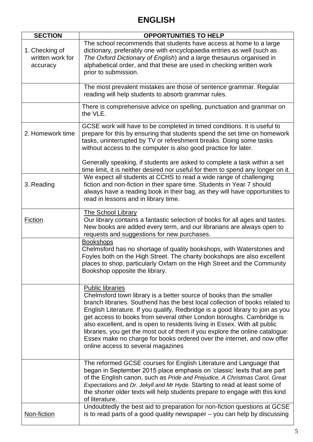## **ENGLISH**

| <b>SECTION</b>                                 | <b>OPPORTUNITIES TO HELP</b>                                                                                                                                                                                                                                                                                                                                                                                                                                                                                                                                                                                            |  |  |
|------------------------------------------------|-------------------------------------------------------------------------------------------------------------------------------------------------------------------------------------------------------------------------------------------------------------------------------------------------------------------------------------------------------------------------------------------------------------------------------------------------------------------------------------------------------------------------------------------------------------------------------------------------------------------------|--|--|
| 1. Checking of<br>written work for<br>accuracy | The school recommends that students have access at home to a large<br>dictionary, preferably one with encyclopaedia entries as well (such as<br>The Oxford Dictionary of English) and a large thesaurus organised in<br>alphabetical order, and that these are used in checking written work<br>prior to submission.                                                                                                                                                                                                                                                                                                    |  |  |
|                                                | The most prevalent mistakes are those of sentence grammar. Regular<br>reading will help students to absorb grammar rules.                                                                                                                                                                                                                                                                                                                                                                                                                                                                                               |  |  |
|                                                | There is comprehensive advice on spelling, punctuation and grammar on<br>the VLE.                                                                                                                                                                                                                                                                                                                                                                                                                                                                                                                                       |  |  |
| 2. Homework time                               | GCSE work will have to be completed in timed conditions. It is useful to<br>prepare for this by ensuring that students spend the set time on homework<br>tasks, uninterrupted by TV or refreshment breaks. Doing some tasks<br>without access to the computer is also good practice for later.                                                                                                                                                                                                                                                                                                                          |  |  |
|                                                | Generally speaking, if students are asked to complete a task within a set<br>time limit, it is neither desired nor useful for them to spend any longer on it.                                                                                                                                                                                                                                                                                                                                                                                                                                                           |  |  |
| 3. Reading                                     | We expect all students at CCHS to read a wide range of challenging<br>fiction and non-fiction in their spare time. Students in Year 7 should<br>always have a reading book in their bag, as they will have opportunities to<br>read in lessons and in library time.                                                                                                                                                                                                                                                                                                                                                     |  |  |
| <b>Fiction</b>                                 | <b>The School Library</b><br>Our library contains a fantastic selection of books for all ages and tastes.<br>New books are added every term, and our librarians are always open to<br>requests and suggestions for new purchases.                                                                                                                                                                                                                                                                                                                                                                                       |  |  |
|                                                | <b>Bookshops</b><br>Chelmsford has no shortage of quality bookshops, with Waterstones and<br>Foyles both on the High Street. The charity bookshops are also excellent<br>places to shop, particularly Oxfam on the High Street and the Community<br>Bookshop opposite the library.                                                                                                                                                                                                                                                                                                                                      |  |  |
|                                                | <b>Public libraries</b><br>Chelmsford town library is a better source of books than the smaller<br>branch libraries. Southend has the best local collection of books related to<br>English Literature. If you qualify, Redbridge is a good library to join as you<br>get access to books from several other London boroughs. Cambridge is<br>also excellent, and is open to residents living in Essex. With all public<br>libraries, you get the most out of them if you explore the online catalogue:<br>Essex make no charge for books ordered over the internet, and now offer<br>online access to several magazines |  |  |
|                                                | The reformed GCSE courses for English Literature and Language that<br>began in September 2015 place emphasis on 'classic' texts that are part<br>of the English canon, such as Pride and Prejudice, A Christmas Carol, Great<br>Expectations and Dr. Jekyll and Mr Hyde. Starting to read at least some of<br>the shorter older texts will help students prepare to engage with this kind<br>of literature.                                                                                                                                                                                                             |  |  |
| Non-fiction                                    | Undoubtedly the best aid to preparation for non-fiction questions at GCSE<br>is to read parts of a good quality newspaper – you can help by discussing                                                                                                                                                                                                                                                                                                                                                                                                                                                                  |  |  |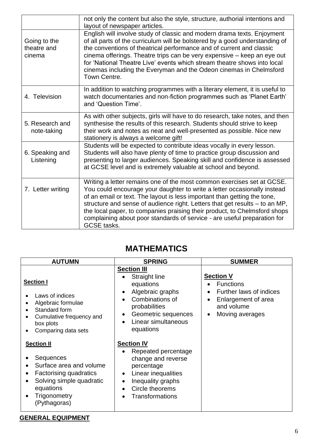|                                       | not only the content but also the style, structure, authorial intentions and<br>layout of newspaper articles.                                                                                                                                                                                                                                                                                                                                                                                |
|---------------------------------------|----------------------------------------------------------------------------------------------------------------------------------------------------------------------------------------------------------------------------------------------------------------------------------------------------------------------------------------------------------------------------------------------------------------------------------------------------------------------------------------------|
| Going to the<br>theatre and<br>cinema | English will involve study of classic and modern drama texts. Enjoyment<br>of all parts of the curriculum will be bolstered by a good understanding of<br>the conventions of theatrical performance and of current and classic<br>cinema offerings. Theatre trips can be very expensive – keep an eye out<br>for 'National Theatre Live' events which stream theatre shows into local<br>cinemas including the Everyman and the Odeon cinemas in Chelmsford<br>Town Centre.                  |
| 4. Television                         | In addition to watching programmes with a literary element, it is useful to<br>watch documentaries and non-fiction programmes such as 'Planet Earth'<br>and 'Question Time'.                                                                                                                                                                                                                                                                                                                 |
| 5. Research and<br>note-taking        | As with other subjects, girls will have to do research, take notes, and then<br>synthesise the results of this research. Students should strive to keep<br>their work and notes as neat and well-presented as possible. Nice new<br>stationery is always a welcome gift!                                                                                                                                                                                                                     |
| 6. Speaking and<br>Listening          | Students will be expected to contribute ideas vocally in every lesson.<br>Students will also have plenty of time to practice group discussion and<br>presenting to larger audiences. Speaking skill and confidence is assessed<br>at GCSE level and is extremely valuable at school and beyond.                                                                                                                                                                                              |
| 7. Letter writing                     | Writing a letter remains one of the most common exercises set at GCSE.<br>You could encourage your daughter to write a letter occasionally instead<br>of an email or text. The layout is less important than getting the tone,<br>structure and sense of audience right. Letters that get results – to an MP,<br>the local paper, to companies praising their product, to Chelmsford shops<br>complaining about poor standards of service - are useful preparation for<br><b>GCSE</b> tasks. |

## **MATHEMATICS**

| <b>AUTUMN</b>                                                                                                                                                            | <b>SPRING</b>                                                                                                                                                                            | <b>SUMMER</b>                                                                                                                             |
|--------------------------------------------------------------------------------------------------------------------------------------------------------------------------|------------------------------------------------------------------------------------------------------------------------------------------------------------------------------------------|-------------------------------------------------------------------------------------------------------------------------------------------|
| <b>Section I</b><br>Laws of indices<br>Algebraic formulae<br>Standard form<br>Cumulative frequency and<br>box plots<br>Comparing data sets                               | <b>Section III</b><br>Straight line<br>equations<br>Algebraic graphs<br>Combinations of<br>probabilities<br>Geometric sequences<br>Linear simultaneous<br>equations                      | <b>Section V</b><br><b>Functions</b><br>Further laws of indices<br>Enlargement of area<br>$\bullet$<br>and volume<br>Moving averages<br>٠ |
| <b>Section II</b><br>Sequences<br>Surface area and volume<br><b>Factorising quadratics</b><br>٠<br>Solving simple quadratic<br>equations<br>Trigonometry<br>(Pythagoras) | <b>Section IV</b><br>Repeated percentage<br>change and reverse<br>percentage<br>Linear inequalities<br>$\bullet$<br>Inequality graphs<br>$\bullet$<br>Circle theorems<br>Transformations |                                                                                                                                           |

#### **GENERAL EQUIPMENT**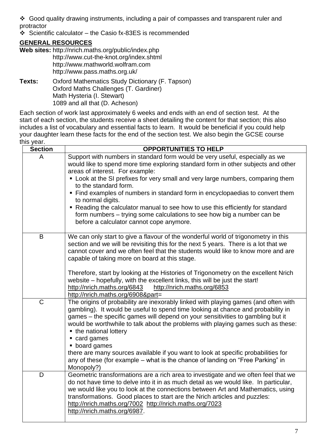❖ Good quality drawing instruments, including a pair of compasses and transparent ruler and protractor

❖ Scientific calculator – the Casio fx-83ES is recommended

#### **GENERAL RESOURCES**

- **Web sites:** http://nrich.maths.org/public/index.php http://www.cut-the-knot.org/index.shtml http://www.mathworld.wolfram.com http://www.pass.maths.org.uk/
- **Texts:** Oxford Mathematics Study Dictionary (F. Tapson) Oxford Maths Challenges (T. Gardiner) Math Hysteria (I. Stewart) 1089 and all that (D. Acheson)

Each section of work last approximately 6 weeks and ends with an end of section test. At the start of each section, the students receive a sheet detailing the content for that section; this also includes a list of vocabulary and essential facts to learn. It would be beneficial if you could help your daughter learn these facts for the end of the section test. We also begin the GCSE course this year.

| <b>Section</b> | <b>OPPORTUNITIES TO HELP</b>                                                                                                                                                                                                                                                                                                                                                                                                                                                                                                                                                                                                    |
|----------------|---------------------------------------------------------------------------------------------------------------------------------------------------------------------------------------------------------------------------------------------------------------------------------------------------------------------------------------------------------------------------------------------------------------------------------------------------------------------------------------------------------------------------------------------------------------------------------------------------------------------------------|
| A              | Support with numbers in standard form would be very useful, especially as we<br>would like to spend more time exploring standard form in other subjects and other<br>areas of interest. For example:<br>• Look at the SI prefixes for very small and very large numbers, comparing them<br>to the standard form.<br>• Find examples of numbers in standard form in encyclopaedias to convert them<br>to normal digits.<br>• Reading the calculator manual to see how to use this efficiently for standard<br>form numbers – trying some calculations to see how big a number can be<br>before a calculator cannot cope anymore. |
| B              | We can only start to give a flavour of the wonderful world of trigonometry in this<br>section and we will be revisiting this for the next 5 years. There is a lot that we<br>cannot cover and we often feel that the students would like to know more and are<br>capable of taking more on board at this stage.<br>Therefore, start by looking at the Histories of Trigonometry on the excellent Nrich<br>website - hopefully, with the excellent links, this will be just the start!<br>http://nrich.maths.org/6843<br>http://nrich.maths.org/6853<br>http://nrich.maths.org/6908∂=                                            |
| C              | The origins of probability are inexorably linked with playing games (and often with<br>gambling). It would be useful to spend time looking at chance and probability in<br>games – the specific games will depend on your sensitivities to gambling but it<br>would be worthwhile to talk about the problems with playing games such as these:<br>• the national lottery<br>• card games<br>• board games<br>there are many sources available if you want to look at specific probabilities for<br>any of these (for example - what is the chance of landing on "Free Parking" in<br>Monopoly?)                                 |
| D              | Geometric transformations are a rich area to investigate and we often feel that we<br>do not have time to delve into it in as much detail as we would like. In particular,<br>we would like you to look at the connections between Art and Mathematics, using<br>transformations. Good places to start are the Nrich articles and puzzles:<br>http://nrich.maths.org/7002 http://nrich.maths.org/7023<br>http://nrich.maths.org/6987.                                                                                                                                                                                           |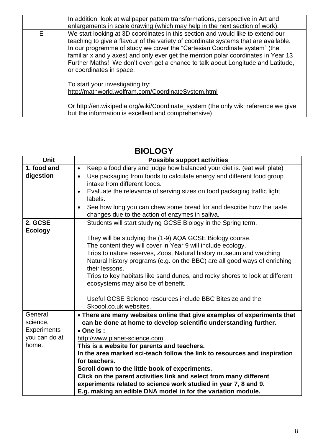|   | In addition, look at wallpaper pattern transformations, perspective in Art and<br>enlargements in scale drawing (which may help in the next section of work).                                                                                                                                                                                                                                                                                           |
|---|---------------------------------------------------------------------------------------------------------------------------------------------------------------------------------------------------------------------------------------------------------------------------------------------------------------------------------------------------------------------------------------------------------------------------------------------------------|
| Е | We start looking at 3D coordinates in this section and would like to extend our<br>teaching to give a flavour of the variety of coordinate systems that are available.<br>In our programme of study we cover the "Cartesian Coordinate system" (the<br>familiar x and y axes) and only ever get the mention polar coordinates in Year 13<br>Further Maths! We don't even get a chance to talk about Longitude and Latitude,<br>or coordinates in space. |
|   | To start your investigating try:<br>http://mathworld.wolfram.com/CoordinateSystem.html                                                                                                                                                                                                                                                                                                                                                                  |
|   | Or http://en.wikipedia.org/wiki/Coordinate_system (the only wiki reference we give<br>but the information is excellent and comprehensive)                                                                                                                                                                                                                                                                                                               |

| <b>Unit</b>        | <b>Possible support activities</b>                                                   |  |  |
|--------------------|--------------------------------------------------------------------------------------|--|--|
| 1. food and        | Keep a food diary and judge how balanced your diet is. (eat well plate)<br>$\bullet$ |  |  |
| digestion          | Use packaging from foods to calculate energy and different food group                |  |  |
|                    | intake from different foods.                                                         |  |  |
|                    | Evaluate the relevance of serving sizes on food packaging traffic light              |  |  |
|                    | labels.                                                                              |  |  |
|                    | See how long you can chew some bread for and describe how the taste<br>$\bullet$     |  |  |
|                    | changes due to the action of enzymes in saliva.                                      |  |  |
| 2. GCSE            | Students will start studying GCSE Biology in the Spring term.                        |  |  |
| <b>Ecology</b>     |                                                                                      |  |  |
|                    | They will be studying the (1-9) AQA GCSE Biology course.                             |  |  |
|                    | The content they will cover in Year 9 will include ecology.                          |  |  |
|                    | Trips to nature reserves, Zoos, Natural history museum and watching                  |  |  |
|                    | Natural history programs (e.g. on the BBC) are all good ways of enriching            |  |  |
|                    | their lessons.                                                                       |  |  |
|                    | Trips to key habitats like sand dunes, and rocky shores to look at different         |  |  |
|                    | ecosystems may also be of benefit.                                                   |  |  |
|                    |                                                                                      |  |  |
|                    | Useful GCSE Science resources include BBC Bitesize and the                           |  |  |
|                    | Skoool.co.uk websites.                                                               |  |  |
| General            | • There are many websites online that give examples of experiments that              |  |  |
| science.           | can be done at home to develop scientific understanding further.                     |  |  |
| <b>Experiments</b> | • One is:                                                                            |  |  |
| you can do at      | http://www.planet-science.com                                                        |  |  |
| home.              | This is a website for parents and teachers.                                          |  |  |
|                    | In the area marked sci-teach follow the link to resources and inspiration            |  |  |
|                    | for teachers.                                                                        |  |  |
|                    | Scroll down to the little book of experiments.                                       |  |  |
|                    | Click on the parent activities link and select from many different                   |  |  |
|                    | experiments related to science work studied in year 7, 8 and 9.                      |  |  |
|                    | E.g. making an edible DNA model in for the variation module.                         |  |  |

## **BIOLOGY**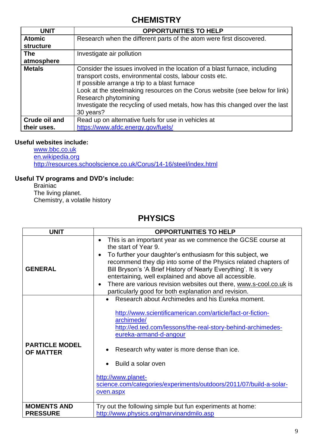### **CHEMISTRY**

| <b>UNIT</b>   | <b>OPPORTUNITIES TO HELP</b>                                                                                                                                                                                                                                                                                                                                                               |
|---------------|--------------------------------------------------------------------------------------------------------------------------------------------------------------------------------------------------------------------------------------------------------------------------------------------------------------------------------------------------------------------------------------------|
| <b>Atomic</b> | Research when the different parts of the atom were first discovered.                                                                                                                                                                                                                                                                                                                       |
| structure     |                                                                                                                                                                                                                                                                                                                                                                                            |
| <b>The</b>    | Investigate air pollution                                                                                                                                                                                                                                                                                                                                                                  |
| atmosphere    |                                                                                                                                                                                                                                                                                                                                                                                            |
| <b>Metals</b> | Consider the issues involved in the location of a blast furnace, including<br>transport costs, environmental costs, labour costs etc.<br>If possible arrange a trip to a blast furnace<br>Look at the steelmaking resources on the Corus website (see below for link)<br>Research phytomining<br>Investigate the recycling of used metals, how has this changed over the last<br>30 years? |
| Crude oil and | Read up on alternative fuels for use in vehicles at                                                                                                                                                                                                                                                                                                                                        |
| their uses.   | https://www.afdc.energy.gov/fuels/                                                                                                                                                                                                                                                                                                                                                         |

#### **Useful websites include:**

[www.bbc.co.uk](http://www.bbc.co.uk/) [en.wikipedia.org](file://///fs-03/notpublic$/SLA/Documents%20and%20Settings/lhilling/Local%20Settings/Local%20Settings/Temporary%20Internet%20Files/OLK5/en.wikipedia.org) <http://resources.schoolscience.co.uk/Corus/14-16/steel/index.html>

#### **Useful TV programs and DVD's include:**

Brainiac The living planet. Chemistry, a volatile history

### **PHYSICS**

| <b>UNIT</b>                               | <b>OPPORTUNITIES TO HELP</b>                                                                                                                                                                                                                                                                                                                                                                                                                                                                                            |  |  |
|-------------------------------------------|-------------------------------------------------------------------------------------------------------------------------------------------------------------------------------------------------------------------------------------------------------------------------------------------------------------------------------------------------------------------------------------------------------------------------------------------------------------------------------------------------------------------------|--|--|
| <b>GENERAL</b>                            | This is an important year as we commence the GCSE course at<br>$\bullet$<br>the start of Year 9.<br>To further your daughter's enthusiasm for this subject, we<br>$\bullet$<br>recommend they dip into some of the Physics related chapters of<br>Bill Bryson's 'A Brief History of Nearly Everything'. It is very<br>entertaining, well explained and above all accessible.<br>There are various revision websites out there, www.s-cool.co.uk is<br>$\bullet$<br>particularly good for both explanation and revision. |  |  |
| <b>PARTICLE MODEL</b><br><b>OF MATTER</b> | Research about Archimedes and his Eureka moment.<br>http://www.scientificamerican.com/article/fact-or-fiction-<br>archimede/<br>http://ed.ted.com/lessons/the-real-story-behind-archimedes-<br>eureka-armand-d-angour<br>Research why water is more dense than ice.<br>Build a solar oven<br>http://www.planet-<br>science.com/categories/experiments/outdoors/2011/07/build-a-solar-<br>oven.aspx                                                                                                                      |  |  |
| <b>MOMENTS AND</b><br><b>PRESSURE</b>     | Try out the following simple but fun experiments at home:<br>http://www.physics.org/marvinandmilo.asp                                                                                                                                                                                                                                                                                                                                                                                                                   |  |  |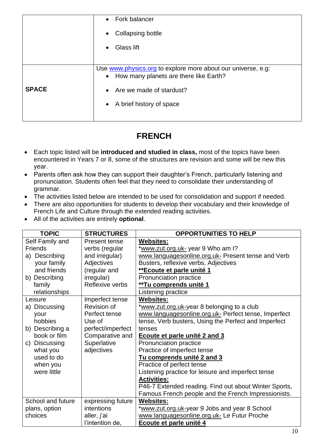|              | Fork balancer<br>$\bullet$                                                                                          |  |  |
|--------------|---------------------------------------------------------------------------------------------------------------------|--|--|
|              | Collapsing bottle<br>$\bullet$                                                                                      |  |  |
|              | Glass lift<br>$\bullet$                                                                                             |  |  |
|              |                                                                                                                     |  |  |
|              | Use www.physics.org to explore more about our universe, e.g:<br>How many planets are there like Earth?<br>$\bullet$ |  |  |
| <b>SPACE</b> | Are we made of stardust?<br>$\bullet$                                                                               |  |  |
|              | A brief history of space<br>$\bullet$                                                                               |  |  |
|              |                                                                                                                     |  |  |

## **FRENCH**

- Each topic listed will be **introduced and studied in class,** most of the topics have been encountered in Years 7 or 8, some of the structures are revision and some will be new this year.
- Parents often ask how they can support their daughter's French, particularly listening and pronunciation. Students often feel that they need to consolidate their understanding of grammar.
- The activities listed below are intended to be used for consolidation and support if needed.
- There are also opportunities for students to develop their vocabulary and their knowledge of French Life and Culture through the extended reading activities.
- All of the activities are entirely **optional**.

| <b>TOPIC</b>      | <b>STRUCTURES</b> | <b>OPPORTUNITIES TO HELP</b>                          |
|-------------------|-------------------|-------------------------------------------------------|
| Self Family and   | Present tense     | <b>Websites:</b>                                      |
| <b>Friends</b>    | verbs (regular    | *www.zut.org.uk- year 9 Who am I?                     |
| a) Describing     | and irregular)    | www.languagesonline.org.uk- Present tense and Verb    |
| your family       | Adjectives        | Busters, reflexive verbs, Adjectives                  |
| and friends       | (regular and      | **Ecoute et parle unité 1                             |
| b) Describing     | irregular)        | Pronunciation practice                                |
| family            | Reflexive verbs   | **Tu comprends unité 1                                |
| relationships     |                   | Listening practice                                    |
| Leisure           | Imperfect tense   | <b>Websites:</b>                                      |
| a) Discussing     | Revision of       | *www.zut.org.uk-year 8 belonging to a club            |
| your              | Perfect tense     | www.languagesonline.org.uk- Perfect tense, Imperfect  |
| hobbies           | Use of            | tense, Verb busters, Using the Perfect and Imperfect  |
| b) Describing a   | perfect/imperfect | tenses                                                |
| book or film      | Comparative and   | Ecoute et parle unité 2 and 3                         |
| c) Discussing     | Superlative       | Pronunciation practice                                |
| what you          | adjectives        | Practice of imperfect tense                           |
| used to do        |                   | Tu comprends unité 2 and 3                            |
| when you          |                   | Practice of perfect tense                             |
| were little       |                   | Listening practice for leisure and imperfect tense    |
|                   |                   | <b>Activities:</b>                                    |
|                   |                   | P46-7 Extended reading. Find out about Winter Sports, |
|                   |                   | Famous French people and the French Impressionists.   |
| School and future | expressing future | <b>Websites:</b>                                      |
| plans, option     | intentions        | *www.zut.org.uk-year 9 Jobs and year 8 School         |
| choices           | aller, j'ai       | www.languagesonline.org.uk- Le Futur Proche           |
|                   | l'intention de,   | Ecoute et parle unité 4                               |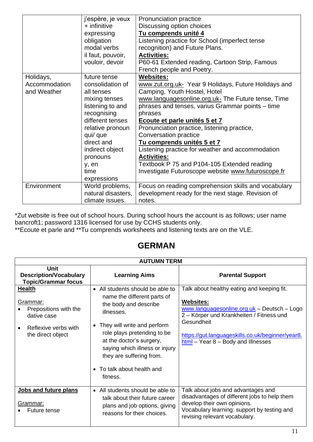|               | j'espère, je veux  | Pronunciation practice                               |
|---------------|--------------------|------------------------------------------------------|
|               | + infinitive       | Discussing option choices                            |
|               | expressing         | Tu comprends unité 4                                 |
|               | obligation         | Listening practice for School (imperfect tense       |
|               | modal verbs        | recognition) and Future Plans.                       |
|               | il faut, pouvoir,  | <b>Activities:</b>                                   |
|               | vouloir, devoir    | P60-61 Extended reading, Cartoon Strip, Famous       |
|               |                    | French people and Poetry.                            |
| Holidays,     | future tense       | <b>Websites:</b>                                     |
| Accommodation | consolidation of   | www.zut.org.uk- Year 9 Holidays, Future Holidays and |
| and Weather   | all tenses         | Camping, Youth Hostel, Hotel                         |
|               | mixing tenses      | www.languagesonline.org.uk- The Future tense, Time   |
|               | listening to and   | phrases and tenses, varius Grammar points - time     |
|               | recognising        | phrases                                              |
|               | different tenses   | Ecoute et parle unités 5 et 7                        |
|               | relative pronoun   | Pronunciation practice, listening practice,          |
|               | qui/ que           | Conversation practice                                |
|               | direct and         | Tu comprends unités 5 et 7                           |
|               | indirect object    | Listening practice for weather and accommodation     |
|               | pronouns           | <b>Activities:</b>                                   |
|               | y, en              | Textbook P 75 and P104-105 Extended reading          |
|               | time               | Investigate Futuroscope website www.futuroscope.fr   |
|               | expressions        |                                                      |
| Environment   | World problems,    | Focus on reading comprehension skills and vocabulary |
|               | natural disasters, | development ready for the next stage. Revision of    |
|               |                    | notes.                                               |
|               | climate issues.    |                                                      |

\*Zut website is free out of school hours. During school hours the account is as follows; user name bancroft1; password 1316 licensed for use by CCHS students only.

\*\*Ecoute et parle and \*\*Tu comprends worksheets and listening texts are on the VLE.

### **GERMAN**

| <b>AUTUMN TERM</b>                                                                                             |                                                                                                                                                                                                                                                                                                            |                                                                                                                                                                                                                                                                     |  |  |
|----------------------------------------------------------------------------------------------------------------|------------------------------------------------------------------------------------------------------------------------------------------------------------------------------------------------------------------------------------------------------------------------------------------------------------|---------------------------------------------------------------------------------------------------------------------------------------------------------------------------------------------------------------------------------------------------------------------|--|--|
| <b>Unit</b><br><b>Description/Vocabulary</b><br><b>Topic/Grammar focus</b>                                     | <b>Learning Aims</b>                                                                                                                                                                                                                                                                                       | <b>Parental Support</b>                                                                                                                                                                                                                                             |  |  |
| <b>Health</b><br>Grammar:<br>Prepositions with the<br>dative case<br>Reflexive verbs with<br>the direct object | • All students should be able to<br>name the different parts of<br>the body and describe<br>illnesses.<br>• They will write and perform<br>role plays pretending to be<br>at the doctor's surgery,<br>saying which illness or injury<br>they are suffering from.<br>• To talk about health and<br>fitness. | Talk about healthy eating and keeping fit.<br><b>Websites:</b><br>www.languagesonline.org.uk - Deutsch - Logo<br>2 – Körper und Krankheiten / Fitness und<br>Gesundheit<br>https://gut.languageskills.co.uk/beginner/year8.<br>$html - Year 8 - Body$ and Illnesses |  |  |
| Jobs and future plans<br>Grammar:<br>Future tense                                                              | • All students should be able to<br>talk about their future career<br>plans and job options, giving<br>reasons for their choices.                                                                                                                                                                          | Talk about jobs and advantages and<br>disadvantages of different jobs to help them<br>develop their own opinions.<br>Vocabulary learning: support by testing and<br>revising relevant vocabulary.                                                                   |  |  |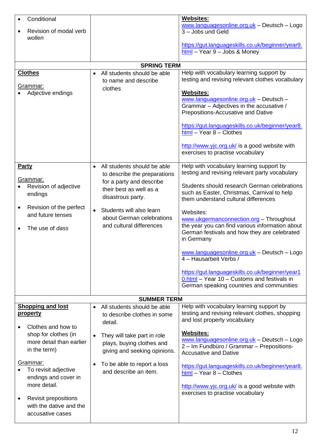| Conditional<br>Revision of modal verb<br>wollen                                        |                                                                                                       | <b>Websites:</b><br>www.languagesonline.org.uk - Deutsch - Logo<br>3 - Jobs und Geld<br>https://gut.languageskills.co.uk/beginner/year9.                                                                                       |
|----------------------------------------------------------------------------------------|-------------------------------------------------------------------------------------------------------|--------------------------------------------------------------------------------------------------------------------------------------------------------------------------------------------------------------------------------|
|                                                                                        |                                                                                                       | $html - Year 9 - Jobs 8 Money$                                                                                                                                                                                                 |
|                                                                                        | <b>SPRING TERM</b>                                                                                    |                                                                                                                                                                                                                                |
| <b>Clothes</b>                                                                         | All students should be able<br>$\bullet$<br>to name and describe                                      | Help with vocabulary learning support by<br>testing and revising relevant clothes vocabulary                                                                                                                                   |
| <u>Grammar:</u><br>Adjective endings                                                   | clothes                                                                                               | <b>Websites:</b><br>www.languagesonline.org.uk - Deutsch -<br>Grammar - Adjectives in the accusative /<br>Prepositions-Accusative and Dative<br>https://gut.languageskills.co.uk/beginner/year8.<br>$html - Year 8 - Clothers$ |
|                                                                                        |                                                                                                       | http://www.yjc.org.uk/ is a good website with<br>exercises to practise vocabulary                                                                                                                                              |
| <b>Party</b><br>Grammar:                                                               | All students should be able<br>$\bullet$<br>to describe the preparations                              | Help with vocabulary learning support by<br>testing and revising relevant party vocabulary                                                                                                                                     |
| Revision of adjective<br>endings                                                       | for a party and describe<br>their best as well as a<br>disastrous party.                              | Students should research German celebrations<br>such as Easter, Christmas, Carnival to help<br>them understand cultural differences                                                                                            |
| Revision of the perfect<br>and future tenses                                           | Students will also learn<br>$\bullet$<br>about German celebrations                                    | Websites:<br>www.ukgermanconnection.org - Throughout                                                                                                                                                                           |
| The use of dass                                                                        | and cultural differences                                                                              | the year you can find various information about<br>German festivals and how they are celebrated<br>in Germany                                                                                                                  |
|                                                                                        |                                                                                                       | www.languagesonline.org.uk - Deutsch - Logo<br>4 - Hausarbeit Verbs /                                                                                                                                                          |
|                                                                                        |                                                                                                       | https://gut.languageskills.co.uk/beginner/year1<br>0.html - Year 10 - Customs and festivals in<br>German speaking countries and communities                                                                                    |
|                                                                                        | <b>SUMMER TERM</b>                                                                                    |                                                                                                                                                                                                                                |
| <b>Shopping and lost</b><br>property                                                   | All students should be able<br>$\bullet$<br>to describe clothes in some<br>detail.                    | Help with vocabulary learning support by<br>testing and revising relevant clothes, shopping<br>and lost property vocabulary                                                                                                    |
| Clothes and how to<br>shop for clothes (in<br>more detail than earlier<br>in the term) | They will take part in role<br>$\bullet$<br>plays, buying clothes and<br>giving and seeking opinions. | <b>Websites:</b><br>www.languagesonline.org.uk - Deutsch - Logo<br>2 - Im Fundbüro / Grammar - Prepositions-<br><b>Accusative and Dative</b>                                                                                   |
| Grammar:<br>To revisit adjective<br>endings and cover in<br>more detail.               | To be able to report a loss<br>$\bullet$<br>and describe an item.                                     | https://gut.languageskills.co.uk/beginner/year8.<br>$html - Year 8 - Clothers$<br>http://www.yjc.org.uk/ is a good website with                                                                                                |
| <b>Revisit prepositions</b><br>٠<br>with the dative and the<br>accusative cases        |                                                                                                       | exercises to practise vocabulary                                                                                                                                                                                               |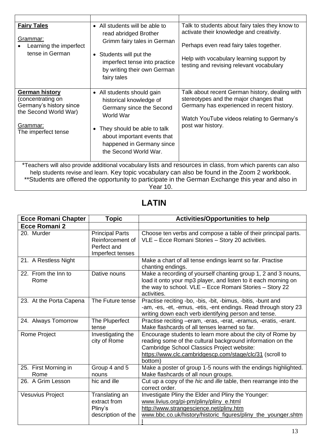| <b>Fairy Tales</b><br>Grammar:<br>Learning the imperfect<br>tense in German                                                                                                                                                                                                                                         | • All students will be able to<br>read abridged Brother<br>Grimm fairy tales in German<br>• Students will put the<br>imperfect tense into practice<br>by writing their own German<br>fairy tales                        | Talk to students about fairy tales they know to<br>activate their knowledge and creativity.<br>Perhaps even read fairy tales together.<br>Help with vocabulary learning support by<br>testing and revising relevant vocabulary |
|---------------------------------------------------------------------------------------------------------------------------------------------------------------------------------------------------------------------------------------------------------------------------------------------------------------------|-------------------------------------------------------------------------------------------------------------------------------------------------------------------------------------------------------------------------|--------------------------------------------------------------------------------------------------------------------------------------------------------------------------------------------------------------------------------|
| <b>German history</b><br>(concentrating on<br>Germany's history since<br>the Second World War)<br>Grammar:<br>The imperfect tense                                                                                                                                                                                   | • All students should gain<br>historical knowledge of<br>Germany since the Second<br>World War<br>They should be able to talk<br>٠<br>about important events that<br>happened in Germany since<br>the Second World War. | Talk about recent German history, dealing with<br>stereotypes and the major changes that<br>Germany has experienced in recent history.<br>Watch YouTube videos relating to Germany's<br>post war history.                      |
| *Teachers will also provide additional vocabulary lists and resources in class, from which parents can also<br>help students revise and learn. Key topic vocabulary can also be found in the Zoom 2 workbook.<br>**Students are offered the opportunity to participate in the German Exchange this year and also in |                                                                                                                                                                                                                         |                                                                                                                                                                                                                                |

Year 10.

### **LATIN**

| <b>Ecce Romani Chapter</b>   | <b>Topic</b>                                                                  | <b>Activities/Opportunities to help</b>                                                                                                                                                                                                       |
|------------------------------|-------------------------------------------------------------------------------|-----------------------------------------------------------------------------------------------------------------------------------------------------------------------------------------------------------------------------------------------|
| Ecce Romani 2                |                                                                               |                                                                                                                                                                                                                                               |
| 20. Murder                   | <b>Principal Parts</b><br>Reinforcement of<br>Perfect and<br>Imperfect tenses | Choose ten verbs and compose a table of their principal parts.<br>VLE - Ecce Romani Stories - Story 20 activities.                                                                                                                            |
| 21. A Restless Night         |                                                                               | Make a chart of all tense endings learnt so far. Practise<br>chanting endings.                                                                                                                                                                |
| 22. From the Inn to<br>Rome  | Dative nouns                                                                  | Make a recording of yourself chanting group 1, 2 and 3 nouns,<br>load it onto your mp3 player, and listen to it each morning on<br>the way to school. VLE - Ecce Romani Stories - Story 22<br>activities.                                     |
| 23. At the Porta Capena      | The Future tense                                                              | Practise reciting -bo, -bis, -bit, -bimus, -bitis, -bunt and<br>-am, -es, -et, -emus, -etis, -ent endings. Read through story 23<br>writing down each verb identifying person and tense.                                                      |
| 24. Always Tomorrow          | The Pluperfect<br>tense                                                       | Practise reciting -eram, -eras, -erat, -eramus, -eratis, -erant.<br>Make flashcards of all tenses learned so far.                                                                                                                             |
| Rome Project                 | Investigating the<br>city of Rome                                             | Encourage students to learn more about the city of Rome by<br>reading some of the cultural background information on the<br>Cambridge School Classics Project website:<br>https://www.clc.cambridgescp.com/stage/clc/31 (scroll to<br>bottom) |
| 25. First Morning in<br>Rome | Group 4 and 5<br>nouns                                                        | Make a poster of group 1-5 nouns with the endings highlighted.<br>Make flashcards of all noun groups.                                                                                                                                         |
| 26. A Grim Lesson            | hic and ille                                                                  | Cut up a copy of the hic and ille table, then rearrange into the<br>correct order.                                                                                                                                                            |
| <b>Vesuvius Project</b>      | Translating an<br>extract from<br>Pliny's<br>description of the               | Investigate Pliny the Elder and Pliny the Younger:<br>www.livius.org/pi-pm/pliny/pliny_e.html<br>http://www.strangescience.net/pliny.htm<br>www.bbc.co.uk/history/historic_figures/pliny_the_younger.shtm                                     |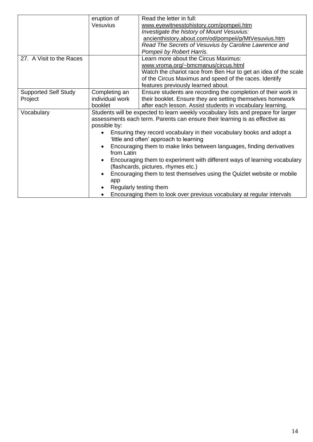|                             | eruption of     | Read the letter in full:                                                          |
|-----------------------------|-----------------|-----------------------------------------------------------------------------------|
|                             | <b>Vesuvius</b> | www.eyewitnesstohistory.com/pompeii.htm                                           |
|                             |                 | Investigate the history of Mount Vesuvius:                                        |
|                             |                 | ancienthistory.about.com/od/pompeii/p/MtVesuvius.htm                              |
|                             |                 | Read The Secrets of Vesuvius by Caroline Lawrence and                             |
|                             |                 | Pompeii by Robert Harris.                                                         |
| 27. A Visit to the Races    |                 | Learn more about the Circus Maximus:                                              |
|                             |                 | www.vroma.org/~bmcmanus/circus.html                                               |
|                             |                 | Watch the chariot race from Ben Hur to get an idea of the scale                   |
|                             |                 | of the Circus Maximus and speed of the races. Identify                            |
|                             |                 | features previously learned about.                                                |
| <b>Supported Self Study</b> | Completing an   | Ensure students are recording the completion of their work in                     |
| Project                     | individual work | their booklet. Ensure they are setting themselves homework                        |
|                             | booklet         | after each lesson. Assist students in vocabulary learning.                        |
| Vocabulary                  |                 | Students will be expected to learn weekly vocabulary lists and prepare for larger |
|                             |                 | assessments each term. Parents can ensure their learning is as effective as       |
|                             | possible by:    |                                                                                   |
|                             |                 | Ensuring they record vocabulary in their vocabulary books and adopt a             |
|                             |                 | 'little and often' approach to learning                                           |
|                             |                 | Encouraging them to make links between languages, finding derivatives             |
|                             | from Latin      |                                                                                   |
|                             | $\bullet$       | Encouraging them to experiment with different ways of learning vocabulary         |
|                             |                 | (flashcards, pictures, rhymes etc.)                                               |
|                             |                 | Encouraging them to test themselves using the Quizlet website or mobile           |
|                             | app             |                                                                                   |
|                             |                 | Regularly testing them                                                            |
|                             |                 | Encouraging them to look over previous vocabulary at regular intervals            |
|                             |                 |                                                                                   |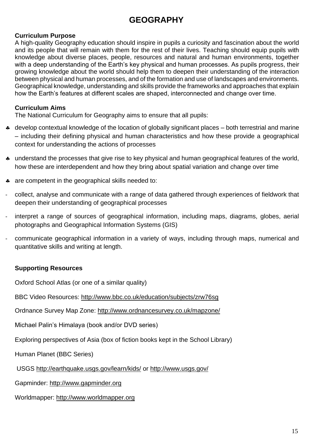## **GEOGRAPHY**

#### **Curriculum Purpose**

A high-quality Geography education should inspire in pupils a curiosity and fascination about the world and its people that will remain with them for the rest of their lives. Teaching should equip pupils with knowledge about diverse places, people, resources and natural and human environments, together with a deep understanding of the Earth's key physical and human processes. As pupils progress, their growing knowledge about the world should help them to deepen their understanding of the interaction between physical and human processes, and of the formation and use of landscapes and environments. Geographical knowledge, understanding and skills provide the frameworks and approaches that explain how the Earth's features at different scales are shaped, interconnected and change over time.

#### **Curriculum Aims**

The National Curriculum for Geography aims to ensure that all pupils:

- develop contextual knowledge of the location of globally significant places both terrestrial and marine – including their defining physical and human characteristics and how these provide a geographical context for understanding the actions of processes
- \* understand the processes that give rise to key physical and human geographical features of the world, how these are interdependent and how they bring about spatial variation and change over time
- \* are competent in the geographical skills needed to:
- collect, analyse and communicate with a range of data gathered through experiences of fieldwork that deepen their understanding of geographical processes
- interpret a range of sources of geographical information, including maps, diagrams, globes, aerial photographs and Geographical Information Systems (GIS)
- communicate geographical information in a variety of ways, including through maps, numerical and quantitative skills and writing at length.

#### **Supporting Resources**

Oxford School Atlas (or one of a similar quality)

BBC Video Resources:<http://www.bbc.co.uk/education/subjects/zrw76sg>

Ordnance Survey Map Zone:<http://www.ordnancesurvey.co.uk/mapzone/>

Michael Palin's Himalaya (book and/or DVD series)

Exploring perspectives of Asia (box of fiction books kept in the School Library)

Human Planet (BBC Series)

USGS<http://earthquake.usgs.gov/learn/kids/> or<http://www.usgs.gov/>

Gapminder: [http://www.gapminder.org](http://www.gapminder.org/)

Worldmapper: [http://www.worldmapper.org](http://www.worldmapper.org/)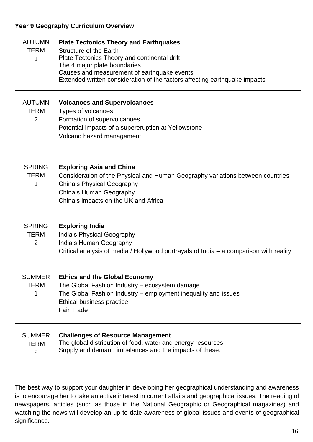| <b>AUTUMN</b><br><b>TERM</b><br>1              | <b>Plate Tectonics Theory and Earthquakes</b><br><b>Structure of the Earth</b><br>Plate Tectonics Theory and continental drift<br>The 4 major plate boundaries<br>Causes and measurement of earthquake events<br>Extended written consideration of the factors affecting earthquake impacts |
|------------------------------------------------|---------------------------------------------------------------------------------------------------------------------------------------------------------------------------------------------------------------------------------------------------------------------------------------------|
| <b>AUTUMN</b><br><b>TERM</b><br>2              | <b>Volcanoes and Supervolcanoes</b><br>Types of volcanoes<br>Formation of supervolcanoes<br>Potential impacts of a supereruption at Yellowstone<br>Volcano hazard management                                                                                                                |
| <b>SPRING</b><br><b>TERM</b><br>1              | <b>Exploring Asia and China</b><br>Consideration of the Physical and Human Geography variations between countries<br><b>China's Physical Geography</b><br>China's Human Geography<br>China's impacts on the UK and Africa                                                                   |
| <b>SPRING</b><br><b>TERM</b><br>$\overline{2}$ | <b>Exploring India</b><br>India's Physical Geography<br>India's Human Geography<br>Critical analysis of media / Hollywood portrayals of India - a comparison with reality                                                                                                                   |
| <b>SUMMER</b><br><b>TERM</b><br>1              | <b>Ethics and the Global Economy</b><br>The Global Fashion Industry - ecosystem damage<br>The Global Fashion Industry – employment inequality and issues<br>Ethical business practice<br><b>Fair Trade</b>                                                                                  |
| <b>SUMMER</b><br><b>TERM</b><br>2              | <b>Challenges of Resource Management</b><br>The global distribution of food, water and energy resources.<br>Supply and demand imbalances and the impacts of these.                                                                                                                          |

The best way to support your daughter in developing her geographical understanding and awareness is to encourage her to take an active interest in current affairs and geographical issues. The reading of newspapers, articles (such as those in the National Geographic or Geographical magazines) and watching the news will develop an up-to-date awareness of global issues and events of geographical significance.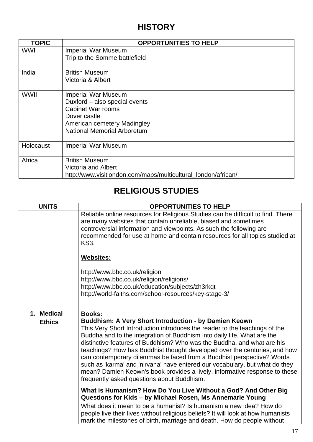## **HISTORY**

| <b>TOPIC</b> | <b>OPPORTUNITIES TO HELP</b>                                  |
|--------------|---------------------------------------------------------------|
| <b>WWI</b>   | <b>Imperial War Museum</b>                                    |
|              | Trip to the Somme battlefield                                 |
| India        | <b>British Museum</b>                                         |
|              | Victoria & Albert                                             |
| <b>WWII</b>  | <b>Imperial War Museum</b>                                    |
|              | Duxford - also special events                                 |
|              | <b>Cabinet War rooms</b>                                      |
|              | Dover castle                                                  |
|              | American cemetery Madingley                                   |
|              | <b>National Memorial Arboretum</b>                            |
| Holocaust    | <b>Imperial War Museum</b>                                    |
| Africa       | <b>British Museum</b>                                         |
|              | <b>Victoria and Albert</b>                                    |
|              | http://www.visitlondon.com/maps/multicultural_london/african/ |

## **RELIGIOUS STUDIES**

| <b>UNITS</b>                | <b>OPPORTUNITIES TO HELP</b>                                                                                                                                                                                                                                                                                                                                                                                                                                                                                                                                                                                                                                                      |  |
|-----------------------------|-----------------------------------------------------------------------------------------------------------------------------------------------------------------------------------------------------------------------------------------------------------------------------------------------------------------------------------------------------------------------------------------------------------------------------------------------------------------------------------------------------------------------------------------------------------------------------------------------------------------------------------------------------------------------------------|--|
|                             | Reliable online resources for Religious Studies can be difficult to find. There<br>are many websites that contain unreliable, biased and sometimes<br>controversial information and viewpoints. As such the following are<br>recommended for use at home and contain resources for all topics studied at<br><b>KS3.</b>                                                                                                                                                                                                                                                                                                                                                           |  |
|                             | <b>Websites:</b>                                                                                                                                                                                                                                                                                                                                                                                                                                                                                                                                                                                                                                                                  |  |
|                             | http://www.bbc.co.uk/religion<br>http://www.bbc.co.uk/religion/religions/<br>http://www.bbc.co.uk/education/subjects/zh3rkqt<br>http://world-faiths.com/school-resources/key-stage-3/                                                                                                                                                                                                                                                                                                                                                                                                                                                                                             |  |
| 1. Medical<br><b>Ethics</b> | <b>Books:</b><br><b>Buddhism: A Very Short Introduction - by Damien Keown</b><br>This Very Short Introduction introduces the reader to the teachings of the<br>Buddha and to the integration of Buddhism into daily life. What are the<br>distinctive features of Buddhism? Who was the Buddha, and what are his<br>teachings? How has Buddhist thought developed over the centuries, and how<br>can contemporary dilemmas be faced from a Buddhist perspective? Words<br>such as 'karma' and 'nirvana' have entered our vocabulary, but what do they<br>mean? Damien Keown's book provides a lively, informative response to these<br>frequently asked questions about Buddhism. |  |
|                             | What is Humanism? How Do You Live Without a God? And Other Big<br>Questions for Kids - by Michael Rosen, Ms Annemarie Young                                                                                                                                                                                                                                                                                                                                                                                                                                                                                                                                                       |  |
|                             | What does it mean to be a humanist? Is humanism a new idea? How do<br>people live their lives without religious beliefs? It will look at how humanists<br>mark the milestones of birth, marriage and death. How do people without                                                                                                                                                                                                                                                                                                                                                                                                                                                 |  |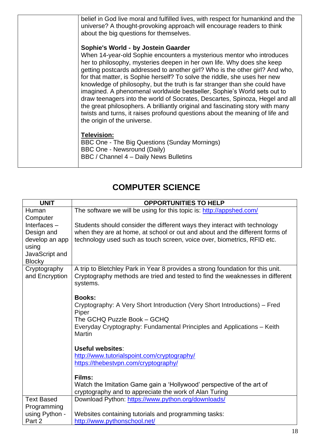|  | belief in God live moral and fulfilled lives, with respect for humankind and the<br>universe? A thought-provoking approach will encourage readers to think<br>about the big questions for themselves.                                                                                                                                                                                                                                                                                                                                                                                               |
|--|-----------------------------------------------------------------------------------------------------------------------------------------------------------------------------------------------------------------------------------------------------------------------------------------------------------------------------------------------------------------------------------------------------------------------------------------------------------------------------------------------------------------------------------------------------------------------------------------------------|
|  | Sophie's World - by Jostein Gaarder                                                                                                                                                                                                                                                                                                                                                                                                                                                                                                                                                                 |
|  | When 14-year-old Sophie encounters a mysterious mentor who introduces<br>her to philosophy, mysteries deepen in her own life. Why does she keep                                                                                                                                                                                                                                                                                                                                                                                                                                                     |
|  | getting postcards addressed to another girl? Who is the other girl? And who,<br>for that matter, is Sophie herself? To solve the riddle, she uses her new<br>knowledge of philosophy, but the truth is far stranger than she could have<br>imagined. A phenomenal worldwide bestseller, Sophie's World sets out to<br>draw teenagers into the world of Socrates, Descartes, Spinoza, Hegel and all<br>the great philosophers. A brilliantly original and fascinating story with many<br>twists and turns, it raises profound questions about the meaning of life and<br>the origin of the universe. |
|  | Television:<br>BBC One - The Big Questions (Sunday Mornings)<br><b>BBC One - Newsround (Daily)</b><br>BBC / Channel 4 - Daily News Bulletins                                                                                                                                                                                                                                                                                                                                                                                                                                                        |
|  |                                                                                                                                                                                                                                                                                                                                                                                                                                                                                                                                                                                                     |

## **COMPUTER SCIENCE**

|                                 | <b>OPPORTUNITIES TO HELP</b><br><b>UNIT</b>                                             |  |
|---------------------------------|-----------------------------------------------------------------------------------------|--|
| Human                           | The software we will be using for this topic is: http://appshed.com/                    |  |
| Computer                        |                                                                                         |  |
| Interfaces $-$                  | Students should consider the different ways they interact with technology               |  |
| Design and                      | when they are at home, at school or out and about and the different forms of            |  |
| develop an app                  | technology used such as touch screen, voice over, biometrics, RFID etc.                 |  |
| using                           |                                                                                         |  |
| JavaScript and<br><b>Blocky</b> |                                                                                         |  |
| Cryptography                    | A trip to Bletchley Park in Year 8 provides a strong foundation for this unit.          |  |
| and Encryption                  | Cryptography methods are tried and tested to find the weaknesses in different           |  |
|                                 | systems.                                                                                |  |
|                                 |                                                                                         |  |
|                                 | <b>Books:</b>                                                                           |  |
|                                 | Cryptography: A Very Short Introduction (Very Short Introductions) – Fred               |  |
|                                 | Piper                                                                                   |  |
|                                 | The GCHQ Puzzle Book - GCHQ                                                             |  |
|                                 | Everyday Cryptography: Fundamental Principles and Applications - Keith<br><b>Martin</b> |  |
|                                 |                                                                                         |  |
|                                 | <b>Useful websites:</b>                                                                 |  |
|                                 | http://www.tutorialspoint.com/cryptography/                                             |  |
|                                 | https://thebestypn.com/cryptography/                                                    |  |
|                                 |                                                                                         |  |
|                                 | Films:                                                                                  |  |
|                                 | Watch the Imitation Game gain a 'Hollywood' perspective of the art of                   |  |
|                                 | cryptography and to appreciate the work of Alan Turing                                  |  |
| <b>Text Based</b>               | Download Python: https://www.python.org/downloads/                                      |  |
| Programming                     |                                                                                         |  |
| using Python -<br>Part 2        | Websites containing tutorials and programming tasks:<br>http://www.pythonschool.net/    |  |
|                                 |                                                                                         |  |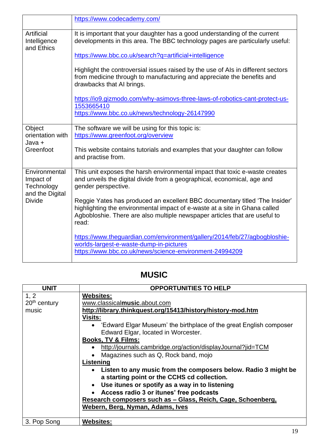|                                                             | https://www.codecademy.com/                                                                                                                                                                                                                      |
|-------------------------------------------------------------|--------------------------------------------------------------------------------------------------------------------------------------------------------------------------------------------------------------------------------------------------|
| Artificial<br>Intelligence<br>and Ethics                    | It is important that your daughter has a good understanding of the current<br>developments in this area. The BBC technology pages are particularly useful:                                                                                       |
|                                                             | https://www.bbc.co.uk/search?q=artificial+intelligence                                                                                                                                                                                           |
|                                                             | Highlight the controversial issues raised by the use of AIs in different sectors<br>from medicine through to manufacturing and appreciate the benefits and<br>drawbacks that AI brings.                                                          |
|                                                             | https://io9.gizmodo.com/why-asimovs-three-laws-of-robotics-cant-protect-us-<br>1553665410<br>https://www.bbc.co.uk/news/technology-26147990                                                                                                      |
| Object                                                      | The software we will be using for this topic is:                                                                                                                                                                                                 |
| orientation with<br>Java +                                  | https://www.greenfoot.org/overview                                                                                                                                                                                                               |
| Greenfoot                                                   | This website contains tutorials and examples that your daughter can follow<br>and practise from.                                                                                                                                                 |
| Environmental<br>Impact of<br>Technology<br>and the Digital | This unit exposes the harsh environmental impact that toxic e-waste creates<br>and unveils the digital divide from a geographical, economical, age and<br>gender perspective.                                                                    |
| <b>Divide</b>                                               | Reggie Yates has produced an excellent BBC documentary titled 'The Insider'<br>highlighting the environmental impact of e-waste at a site in Ghana called<br>Agbobloshie. There are also multiple newspaper articles that are useful to<br>read: |
|                                                             | https://www.theguardian.com/environment/gallery/2014/feb/27/agbogbloshie-<br>worlds-largest-e-waste-dump-in-pictures<br>https://www.bbc.co.uk/news/science-environment-24994209                                                                  |

## **MUSIC**

| <b>UNIT</b>    | <b>OPPORTUNITIES TO HELP</b>                                                |
|----------------|-----------------------------------------------------------------------------|
| 1, 2           | <b>Websites:</b>                                                            |
| $20th$ century | www.classicalmusic.about.com                                                |
| music          | http://library.thinkquest.org/15413/history/history-mod.htm                 |
|                | <b>Visits:</b>                                                              |
|                | • 'Edward Elgar Museum' the birthplace of the great English composer        |
|                | Edward Elgar, located in Worcester.                                         |
|                | <b>Books, TV &amp; Films:</b>                                               |
|                | http://journals.cambridge.org/action/displayJournal?jid=TCM<br>$\bullet$    |
|                | Magazines such as Q, Rock band, mojo                                        |
|                | Listening                                                                   |
|                | Listen to any music from the composers below. Radio 3 might be<br>$\bullet$ |
|                | a starting point or the CCHS cd collection.                                 |
|                | Use itunes or spotify as a way in to listening<br>$\bullet$                 |
|                | Access radio 3 or itunes' free podcasts                                     |
|                | Research composers such as - Glass, Reich, Cage, Schoenberg,                |
|                | Webern, Berg, Nyman, Adams, Ives                                            |
|                |                                                                             |
| 3. Pop Song    | <b>Websites:</b>                                                            |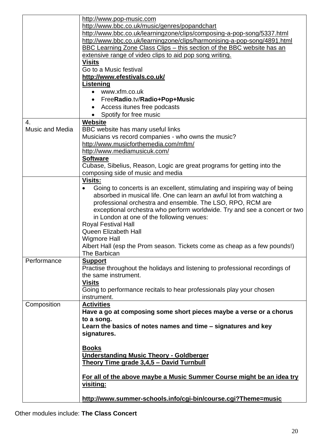|                        | http://www.pop-music.com                                                     |
|------------------------|------------------------------------------------------------------------------|
|                        | http://www.bbc.co.uk/music/genres/popandchart                                |
|                        | http://www.bbc.co.uk/learningzone/clips/composing-a-pop-song/5337.html       |
|                        | http://www.bbc.co.uk/learningzone/clips/harmonising-a-pop-song/4891.html     |
|                        | BBC Learning Zone Class Clips – this section of the BBC website has an       |
|                        | extensive range of video clips to aid pop song writing.                      |
|                        | <b>Visits</b>                                                                |
|                        | Go to a Music festival                                                       |
|                        | http://www.efestivals.co.uk/                                                 |
|                        | <b>Listening</b>                                                             |
|                        | www.xfm.co.uk<br>$\bullet$                                                   |
|                        | FreeRadio.tv/Radio+Pop+Music                                                 |
|                        | Access itunes free podcasts                                                  |
|                        | Spotify for free music<br>$\bullet$                                          |
| 4.                     | <b>Website</b>                                                               |
| <b>Music and Media</b> | BBC website has many useful links                                            |
|                        | Musicians vs record companies - who owns the music?                          |
|                        | http://www.musicforthemedia.com/mftm/                                        |
|                        | http://www.mediamusicuk.com/                                                 |
|                        | <b>Software</b>                                                              |
|                        | Cubase, Sibelius, Reason, Logic are great programs for getting into the      |
|                        | composing side of music and media                                            |
|                        | <b>Visits:</b>                                                               |
|                        | Going to concerts is an excellent, stimulating and inspiring way of being    |
|                        | absorbed in musical life. One can learn an awful lot from watching a         |
|                        | professional orchestra and ensemble. The LSO, RPO, RCM are                   |
|                        | exceptional orchestra who perform worldwide. Try and see a concert or two    |
|                        | in London at one of the following venues:                                    |
|                        | <b>Royal Festival Hall</b>                                                   |
|                        | Queen Elizabeth Hall                                                         |
|                        | <b>Wigmore Hall</b>                                                          |
|                        | Albert Hall (esp the Prom season. Tickets come as cheap as a few pounds!)    |
|                        | The Barbican                                                                 |
| Performance            | <b>Support</b>                                                               |
|                        | Practise throughout the holidays and listening to professional recordings of |
|                        | the same instrument.                                                         |
|                        | <b>Visits</b>                                                                |
|                        | Going to performance recitals to hear professionals play your chosen         |
|                        | instrument.                                                                  |
| Composition            | <b>Activities</b>                                                            |
|                        | Have a go at composing some short pieces maybe a verse or a chorus           |
|                        | to a song.                                                                   |
|                        | Learn the basics of notes names and time – signatures and key                |
|                        | signatures.                                                                  |
|                        |                                                                              |
|                        | <b>Books</b>                                                                 |
|                        | <b>Understanding Music Theory - Goldberger</b>                               |
|                        | Theory Time grade 3,4,5 - David Turnbull                                     |
|                        |                                                                              |
|                        | For all of the above maybe a Music Summer Course might be an idea try        |
|                        | <u>visiting:</u>                                                             |
|                        |                                                                              |
|                        | http://www.summer-schools.info/cgi-bin/course.cgi?Theme=music                |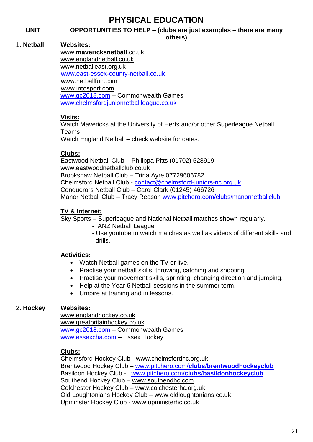## **PHYSICAL EDUCATION**

| <b>UNIT</b> | OPPORTUNITIES TO HELP - (clubs are just examples - there are many<br>others)                                                                                                                                                                                                                                                                                                                                       |
|-------------|--------------------------------------------------------------------------------------------------------------------------------------------------------------------------------------------------------------------------------------------------------------------------------------------------------------------------------------------------------------------------------------------------------------------|
| 1. Netball  | Websites:<br>www.mavericksnetball.co.uk<br>www.englandnetball.co.uk<br>www.netballeast.org.uk<br>www.east-essex-county-netball.co.uk<br>www.netballfun.com<br>www.intosport.com<br>www.gc2018.com - Commonwealth Games<br>www.chelmsfordjuniornetballleague.co.uk                                                                                                                                                  |
|             | <u>Visits:</u><br>Watch Mavericks at the University of Herts and/or other Superleague Netball<br>Teams<br>Watch England Netball – check website for dates.                                                                                                                                                                                                                                                         |
|             | Clubs:<br>Eastwood Netball Club - Philippa Pitts (01702) 528919<br>www.eastwoodnetballclub.co.uk<br>Brookshaw Netball Club - Trina Ayre 07729606782<br>Chelmsford Netball Club - contact@chelmsford-juniors-nc.org.uk<br>Conquerors Netball Club - Carol Clark (01245) 466726<br>Manor Netball Club - Tracy Reason www.pitchero.com/clubs/manornetballclub                                                         |
|             | TV & Internet:<br>Sky Sports - Superleague and National Netball matches shown regularly.<br>- ANZ Netball League<br>- Use youtube to watch matches as well as videos of different skills and<br>drills.                                                                                                                                                                                                            |
|             | <b>Activities:</b><br>Watch Netball games on the TV or live.<br>Practise your netball skills, throwing, catching and shooting.<br>Practise your movement skills, sprinting, changing direction and jumping.<br>$\bullet$<br>Help at the Year 6 Netball sessions in the summer term.<br>Umpire at training and in lessons.<br>$\bullet$                                                                             |
| 2. Hockey   | Websites:<br>www.englandhockey.co.uk<br>www.greatbritainhockey.co.uk<br>www.gc2018.com - Commonwealth Games<br>www.essexcha.com - Essex Hockey                                                                                                                                                                                                                                                                     |
|             | Clubs:<br>Chelmsford Hockey Club - www.chelmsfordhc.org.uk<br>Brentwood Hockey Club - www.pitchero.com/clubs/brentwoodhockeyclub<br>Basildon Hockey Club - www.pitchero.com/clubs/basildonhockeyclub<br>Southend Hockey Club - www.southendhc.com<br>Colchester Hockey Club - www.colchesterhc.org.uk<br>Old Loughtonians Hockey Club - www.oldloughtonians.co.uk<br>Upminster Hockey Club - www.upminsterhc.co.uk |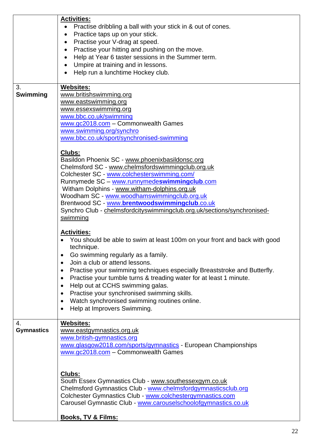|                         | <b>Activities:</b><br>Practise dribbling a ball with your stick in & out of cones.<br>$\bullet$<br>Practice taps up on your stick.<br>$\bullet$<br>Practise your V-drag at speed.<br>$\bullet$                                                                                                                                                                                                                                                                                                                                                        |
|-------------------------|-------------------------------------------------------------------------------------------------------------------------------------------------------------------------------------------------------------------------------------------------------------------------------------------------------------------------------------------------------------------------------------------------------------------------------------------------------------------------------------------------------------------------------------------------------|
|                         | Practise your hitting and pushing on the move.<br>$\bullet$<br>Help at Year 6 taster sessions in the Summer term.<br>$\bullet$<br>Umpire at training and in lessons.<br>Help run a lunchtime Hockey club.                                                                                                                                                                                                                                                                                                                                             |
| 3.<br><b>Swimming</b>   | Websites:<br>www.britishswimming.org<br>www.eastswimming.org<br>www.essexswimming.org<br>www.bbc.co.uk/swimming<br>www.gc2018.com - Commonwealth Games<br>www.swimming.org/synchro<br>www.bbc.co.uk/sport/synchronised-swimming                                                                                                                                                                                                                                                                                                                       |
|                         | Clubs:<br>Basildon Phoenix SC - www.phoenixbasildonsc.org<br>Chelmsford SC - www.chelmsfordswimmingclub.org.uk<br>Colchester SC - www.colchesterswimming.com/<br>Runnymede SC - www.runnymedeswimmingclub.com<br>Witham Dolphins - www.witham-dolphins.org.uk<br>Woodham SC - www.woodhamswimmingclub.org.uk<br>Brentwood SC - www.brentwoodswimmingclub.co.uk<br>Synchro Club - chelmsfordcityswimmingclub.org.uk/sections/synchronised-<br>swimming                                                                                                 |
|                         | <b>Activities:</b><br>You should be able to swim at least 100m on your front and back with good<br>technique.<br>Go swimming regularly as a family.<br>Join a club or attend lessons.<br>$\bullet$<br>Practise your swimming techniques especially Breaststroke and Butterfly.<br>Practise your tumble turns & treading water for at least 1 minute.<br>$\bullet$<br>Help out at CCHS swimming galas.<br>٠<br>Practise your synchronised swimming skills.<br>$\bullet$<br>Watch synchronised swimming routines online.<br>Help at Improvers Swimming. |
| 4.<br><b>Gymnastics</b> | <b>Websites:</b><br>www.eastgymnastics.org.uk<br>www.british-gymnastics.org<br>www.glasgow2018.com/sports/gymnastics - European Championships<br>www.gc2018.com - Commonwealth Games                                                                                                                                                                                                                                                                                                                                                                  |
|                         | Clubs:<br>South Essex Gymnastics Club - www.southessexgym.co.uk<br>Chelmsford Gymnastics Club - www.chelmsfordgymnasticsclub.org<br>Colchester Gymnastics Club - www.colchestergymnastics.com<br>Carousel Gymnastic Club - www.carouselschoolofgymnastics.co.uk                                                                                                                                                                                                                                                                                       |
|                         | <b>Books, TV &amp; Films:</b>                                                                                                                                                                                                                                                                                                                                                                                                                                                                                                                         |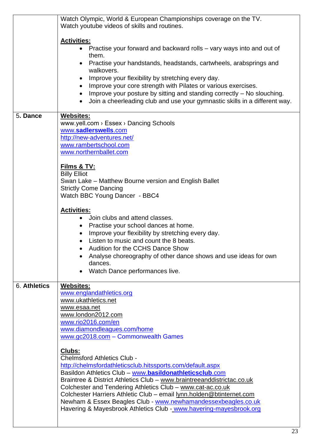|              | Watch Olympic, World & European Championships coverage on the TV.<br>Watch youtube videos of skills and routines.                                                                                                                                                                                                                                                                                                                                                                                                            |
|--------------|------------------------------------------------------------------------------------------------------------------------------------------------------------------------------------------------------------------------------------------------------------------------------------------------------------------------------------------------------------------------------------------------------------------------------------------------------------------------------------------------------------------------------|
|              | <b>Activities:</b><br>Practise your forward and backward rolls – vary ways into and out of<br>$\bullet$<br>them.                                                                                                                                                                                                                                                                                                                                                                                                             |
|              | Practise your handstands, headstands, cartwheels, arabsprings and<br>walkovers.                                                                                                                                                                                                                                                                                                                                                                                                                                              |
|              | Improve your flexibility by stretching every day.<br>Improve your core strength with Pilates or various exercises.<br>$\bullet$<br>Improve your posture by sitting and standing correctly – No slouching.<br>$\bullet$<br>Join a cheerleading club and use your gymnastic skills in a different way.                                                                                                                                                                                                                         |
| 5. Dance     | <b>Websites:</b><br>www.yell.com > Essex > Dancing Schools<br>www.sadlerswells.com<br>http://new-adventures.net/<br>www.rambertschool.com<br>www.northernballet.com                                                                                                                                                                                                                                                                                                                                                          |
|              | Films & TV:<br><b>Billy Elliot</b><br>Swan Lake – Matthew Bourne version and English Ballet<br><b>Strictly Come Dancing</b><br>Watch BBC Young Dancer - BBC4                                                                                                                                                                                                                                                                                                                                                                 |
|              | <b>Activities:</b><br>Join clubs and attend classes.<br>$\bullet$<br>• Practise your school dances at home.<br>Improve your flexibility by stretching every day.<br>Listen to music and count the 8 beats.<br>Audition for the CCHS Dance Show<br>Analyse choreography of other dance shows and use ideas for own<br>dances.<br>Watch Dance performances live.                                                                                                                                                               |
| 6. Athletics | <u>Websites:</u><br>www.englandathletics.org<br>www.ukathletics.net<br>www.esaa.net<br>www.london2012.com<br>www.rio2016.com/en<br>www.diamondleagues.com/home<br>www.gc2018.com - Commonwealth Games                                                                                                                                                                                                                                                                                                                        |
|              | Clubs:<br><b>Chelmsford Athletics Club -</b><br>http://chelmsfordathleticsclub.hitssports.com/default.aspx<br>Basildon Athletics Club - www.basildonathleticsclub.com<br>Braintree & District Athletics Club - www.braintreeanddistrictac.co.uk<br>Colchester and Tendering Athletics Club - www.cat-ac.co.uk<br>Colchester Harriers Athletic Club - email lynn.holden@btinternet.com<br>Newham & Essex Beagles Club - www.newhamandessexbeagles.co.uk<br>Havering & Mayesbrook Athletics Club - www.havering-mayesbrook.org |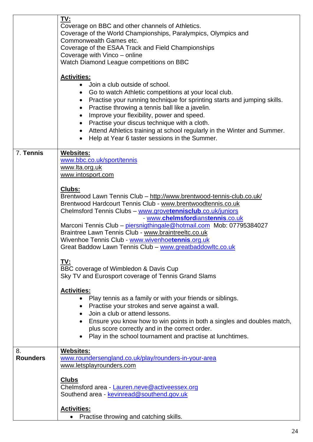|                 | TV:<br>Coverage on BBC and other channels of Athletics.<br>Coverage of the World Championships, Paralympics, Olympics and<br>Commonwealth Games etc.<br>Coverage of the ESAA Track and Field Championships<br>Coverage with Vinco – online<br>Watch Diamond League competitions on BBC                                                                                                                                                                                                                                                                                                                                                                                                                                                                                                                                                                                                                                                                                                                                                                                                          |
|-----------------|-------------------------------------------------------------------------------------------------------------------------------------------------------------------------------------------------------------------------------------------------------------------------------------------------------------------------------------------------------------------------------------------------------------------------------------------------------------------------------------------------------------------------------------------------------------------------------------------------------------------------------------------------------------------------------------------------------------------------------------------------------------------------------------------------------------------------------------------------------------------------------------------------------------------------------------------------------------------------------------------------------------------------------------------------------------------------------------------------|
|                 | <b>Activities:</b><br>Join a club outside of school.<br>$\bullet$<br>Go to watch Athletic competitions at your local club.<br>$\bullet$<br>Practise your running technique for sprinting starts and jumping skills.<br>$\bullet$<br>Practise throwing a tennis ball like a javelin.<br>$\bullet$<br>Improve your flexibility, power and speed.<br>$\bullet$<br>Practise your discus technique with a cloth.<br>$\bullet$<br>Attend Athletics training at school regularly in the Winter and Summer.<br>$\bullet$<br>Help at Year 6 taster sessions in the Summer.                                                                                                                                                                                                                                                                                                                                                                                                                                                                                                                               |
| 7. Tennis       | Websites:<br>www.bbc.co.uk/sport/tennis<br>www.lta.org.uk<br>www.intosport.com<br>Clubs:<br>Brentwood Lawn Tennis Club - http://www.brentwood-tennis-club.co.uk/<br>Brentwood Hardcourt Tennis Club - www.brentwoodtennis.co.uk<br>Chelmsford Tennis Clubs - www.grovetennisclub.co.uk/juniors<br>- www.chelmsfordianstennis.co.uk<br>Marconi Tennis Club - piersnigthingale@hotmail.com Mob: 07795384027<br>Braintree Lawn Tennis Club - www.braintreeltc.co.uk<br>Wivenhoe Tennis Club - www.wivenhoetennis.org.uk<br>Great Baddow Lawn Tennis Club - www.greatbaddowltc.co.uk<br>TV:<br>BBC coverage of Wimbledon & Davis Cup<br>Sky TV and Eurosport coverage of Tennis Grand Slams<br><b>Activities:</b><br>Play tennis as a family or with your friends or siblings.<br>Practise your strokes and serve against a wall.<br>$\bullet$<br>Join a club or attend lessons.<br>$\bullet$<br>Ensure you know how to win points in both a singles and doubles match,<br>$\bullet$<br>plus score correctly and in the correct order.<br>Play in the school tournament and practise at lunchtimes. |
| 8.              | Websites:                                                                                                                                                                                                                                                                                                                                                                                                                                                                                                                                                                                                                                                                                                                                                                                                                                                                                                                                                                                                                                                                                       |
| <b>Rounders</b> | www.roundersengland.co.uk/play/rounders-in-your-area<br>www.letsplayrounders.com<br><b>Clubs</b><br>Chelmsford area - Lauren.neve@activeessex.org<br>Southend area - kevinread@southend.gov.uk<br><b>Activities:</b><br>Practise throwing and catching skills.                                                                                                                                                                                                                                                                                                                                                                                                                                                                                                                                                                                                                                                                                                                                                                                                                                  |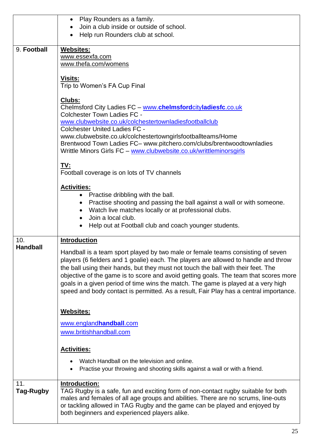|                 | Play Rounders as a family.<br>$\bullet$<br>Join a club inside or outside of school.                                                 |
|-----------------|-------------------------------------------------------------------------------------------------------------------------------------|
|                 | Help run Rounders club at school.                                                                                                   |
|                 |                                                                                                                                     |
| 9. Football     | Websites:                                                                                                                           |
|                 | www.essexfa.com                                                                                                                     |
|                 | www.thefa.com/womens                                                                                                                |
|                 |                                                                                                                                     |
|                 | <b>Visits:</b>                                                                                                                      |
|                 | Trip to Women's FA Cup Final                                                                                                        |
|                 | Clubs:                                                                                                                              |
|                 | Chelmsford City Ladies FC - www.chelmsfordcityladiesfc.co.uk                                                                        |
|                 | <b>Colchester Town Ladies FC -</b>                                                                                                  |
|                 | www.clubwebsite.co.uk/colchestertownladiesfootballclub                                                                              |
|                 | <b>Colchester United Ladies FC -</b>                                                                                                |
|                 | www.clubwebsite.co.uk/colchestertowngirlsfootballteams/Home<br>Brentwood Town Ladies FC- www.pitchero.com/clubs/brentwoodtownladies |
|                 | Writtle Minors Girls FC - www.clubwebsite.co.uk/writtleminorsgirls                                                                  |
|                 |                                                                                                                                     |
|                 | TV:                                                                                                                                 |
|                 | Football coverage is on lots of TV channels                                                                                         |
|                 | <b>Activities:</b>                                                                                                                  |
|                 | Practise dribbling with the ball.<br>$\bullet$                                                                                      |
|                 | Practise shooting and passing the ball against a wall or with someone.                                                              |
|                 | Watch live matches locally or at professional clubs.                                                                                |
|                 | Join a local club.                                                                                                                  |
|                 | Help out at Football club and coach younger students.                                                                               |
|                 |                                                                                                                                     |
| 10.             | <b>Introduction</b>                                                                                                                 |
| <b>Handball</b> | Handball is a team sport played by two male or female teams consisting of seven                                                     |
|                 | players (6 fielders and 1 goalie) each. The players are allowed to handle and throw                                                 |
|                 | the ball using their hands, but they must not touch the ball with their feet. The                                                   |
|                 | objective of the game is to score and avoid getting goals. The team that scores more                                                |
|                 | goals in a given period of time wins the match. The game is played at a very high                                                   |
|                 | speed and body contact is permitted. As a result, Fair Play has a central importance.                                               |
|                 |                                                                                                                                     |
|                 | Websites:                                                                                                                           |
|                 | www.englandhandball.com                                                                                                             |
|                 | www.britishhandball.com                                                                                                             |
|                 |                                                                                                                                     |
|                 | <b>Activities:</b>                                                                                                                  |
|                 |                                                                                                                                     |
|                 | Watch Handball on the television and online.                                                                                        |
|                 | Practise your throwing and shooting skills against a wall or with a friend.                                                         |
| 11.             | Introduction:                                                                                                                       |
| Tag-Rugby       | TAG Rugby is a safe, fun and exciting form of non-contact rugby suitable for both                                                   |
|                 | males and females of all age groups and abilities. There are no scrums, line-outs                                                   |
|                 | or tackling allowed in TAG Rugby and the game can be played and enjoyed by                                                          |
|                 | both beginners and experienced players alike.                                                                                       |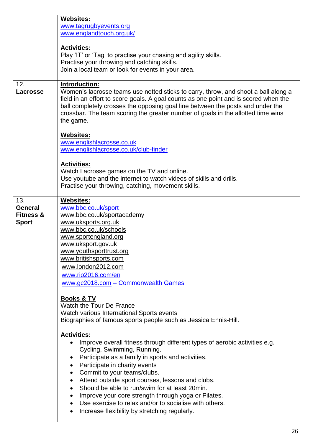|                                                               | <b>Websites:</b><br>www.tagrugbyevents.org<br>www.englandtouch.org.uk/<br><b>Activities:</b><br>Play 'IT' or 'Tag' to practise your chasing and agility skills.                                                                                                                                                                                                                                                                                                                                                                                                                  |
|---------------------------------------------------------------|----------------------------------------------------------------------------------------------------------------------------------------------------------------------------------------------------------------------------------------------------------------------------------------------------------------------------------------------------------------------------------------------------------------------------------------------------------------------------------------------------------------------------------------------------------------------------------|
|                                                               | Practise your throwing and catching skills.<br>Join a local team or look for events in your area.                                                                                                                                                                                                                                                                                                                                                                                                                                                                                |
| 12.<br>Lacrosse                                               | Introduction:<br>Women's lacrosse teams use netted sticks to carry, throw, and shoot a ball along a<br>field in an effort to score goals. A goal counts as one point and is scored when the<br>ball completely crosses the opposing goal line between the posts and under the<br>crossbar. The team scoring the greater number of goals in the allotted time wins<br>the game.                                                                                                                                                                                                   |
|                                                               | <b>Websites:</b><br>www.englishlacrosse.co.uk<br>www.englishlacrosse.co.uk/club-finder                                                                                                                                                                                                                                                                                                                                                                                                                                                                                           |
|                                                               | <b>Activities:</b><br>Watch Lacrosse games on the TV and online.<br>Use youtube and the internet to watch videos of skills and drills.<br>Practise your throwing, catching, movement skills.                                                                                                                                                                                                                                                                                                                                                                                     |
| 13.<br><b>General</b><br><b>Fitness &amp;</b><br><b>Sport</b> | <b>Websites:</b><br>www.bbc.co.uk/sport<br>www.bbc.co.uk/sportacademy<br>www.uksports.org.uk<br>www.bbc.co.uk/schools<br>www.sportengland.org<br>www.uksport.gov.uk<br>www.youthsporttrust.org<br>www.britishsports.com<br>www.london2012.com<br>www.rio2016.com/en<br>www.gc2018.com - Commonwealth Games                                                                                                                                                                                                                                                                       |
|                                                               | Books & TV<br>Watch the Tour De France<br>Watch various International Sports events<br>Biographies of famous sports people such as Jessica Ennis-Hill.                                                                                                                                                                                                                                                                                                                                                                                                                           |
|                                                               | <b>Activities:</b><br>Improve overall fitness through different types of aerobic activities e.g.<br>$\bullet$<br>Cycling, Swimming, Running.<br>Participate as a family in sports and activities.<br>Participate in charity events<br>$\bullet$<br>Commit to your teams/clubs.<br>Attend outside sport courses, lessons and clubs.<br>$\bullet$<br>Should be able to run/swim for at least 20min.<br>$\bullet$<br>Improve your core strength through yoga or Pilates.<br>Use exercise to relax and/or to socialise with others.<br>Increase flexibility by stretching regularly. |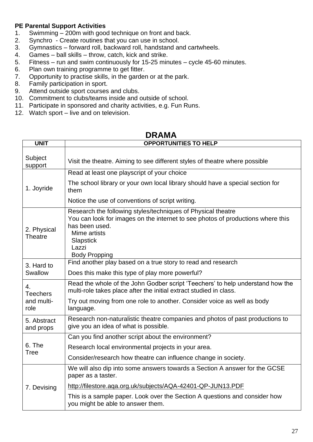#### **PE Parental Support Activities**

- 1. Swimming 200m with good technique on front and back.
- 2. Synchro Create routines that you can use in school.<br>3. Gymnastics forward roll, backward roll, handstand are
- 3. Gymnastics forward roll, backward roll, handstand and cartwheels.<br>4. Games ball skills throw, catch, kick and strike.
- 4. Games ball skills throw, catch, kick and strike.
- 5. Fitness run and swim continuously for 15-25 minutes cycle 45-60 minutes.
- 6. Plan own training programme to get fitter.
- 7. Opportunity to practise skills, in the garden or at the park.<br>8. Family participation in sport.
- 8. Family participation in sport.<br>9. Attend outside sport courses
- Attend outside sport courses and clubs.
- 10. Commitment to clubs/teams inside and outside of school.
- 11. Participate in sponsored and charity activities, e.g. Fun Runs.
- 12. Watch sport live and on television.

| <b>UNIT</b>                   | <b>OPPORTUNITIES TO HELP</b>                                                                                                                                                                                                           |
|-------------------------------|----------------------------------------------------------------------------------------------------------------------------------------------------------------------------------------------------------------------------------------|
| Subject<br>support            | Visit the theatre. Aiming to see different styles of theatre where possible                                                                                                                                                            |
|                               | Read at least one playscript of your choice                                                                                                                                                                                            |
| 1. Joyride                    | The school library or your own local library should have a special section for<br>them                                                                                                                                                 |
|                               | Notice the use of conventions of script writing.                                                                                                                                                                                       |
| 2. Physical<br><b>Theatre</b> | Research the following styles/techniques of Physical theatre<br>You can look for images on the internet to see photos of productions where this<br>has been used.<br>Mime artists<br><b>Slapstick</b><br>Lazzi<br><b>Body Propping</b> |
| 3. Hard to                    | Find another play based on a true story to read and research                                                                                                                                                                           |
| Swallow                       | Does this make this type of play more powerful?                                                                                                                                                                                        |
| 4.<br><b>Teechers</b>         | Read the whole of the John Godber script 'Teechers' to help understand how the<br>multi-role takes place after the initial extract studied in class.                                                                                   |
| and multi-<br>role            | Try out moving from one role to another. Consider voice as well as body<br>language.                                                                                                                                                   |
| 5. Abstract<br>and props      | Research non-naturalistic theatre companies and photos of past productions to<br>give you an idea of what is possible.                                                                                                                 |
|                               | Can you find another script about the environment?                                                                                                                                                                                     |
| 6. The<br>Tree                | Research local environmental projects in your area.                                                                                                                                                                                    |
|                               | Consider/research how theatre can influence change in society.                                                                                                                                                                         |
|                               | We will also dip into some answers towards a Section A answer for the GCSE<br>paper as a taster.                                                                                                                                       |
| 7. Devising                   | http://filestore.aqa.org.uk/subjects/AQA-42401-QP-JUN13.PDF                                                                                                                                                                            |
|                               | This is a sample paper. Look over the Section A questions and consider how<br>you might be able to answer them.                                                                                                                        |

## **DRAMA**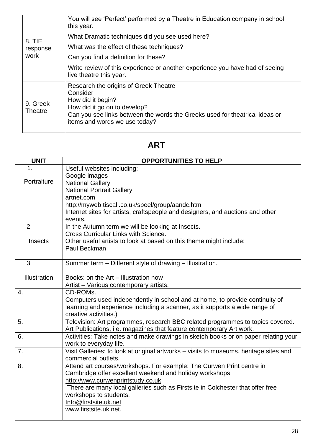| 8. TIE<br>response         | You will see 'Perfect' performed by a Theatre in Education company in school<br>this year.                                                                                                                             |
|----------------------------|------------------------------------------------------------------------------------------------------------------------------------------------------------------------------------------------------------------------|
|                            | What Dramatic techniques did you see used here?                                                                                                                                                                        |
|                            | What was the effect of these techniques?                                                                                                                                                                               |
| work                       | Can you find a definition for these?                                                                                                                                                                                   |
|                            | Write review of this experience or another experience you have had of seeing<br>live theatre this year.                                                                                                                |
| 9. Greek<br><b>Theatre</b> | Research the origins of Greek Theatre<br>Consider<br>How did it begin?<br>How did it go on to develop?<br>Can you see links between the words the Greeks used for theatrical ideas or<br>items and words we use today? |

## **ART**

| <b>UNIT</b>      | <b>OPPORTUNITIES TO HELP</b>                                                                                                                           |
|------------------|--------------------------------------------------------------------------------------------------------------------------------------------------------|
| 1 <sub>1</sub>   | Useful websites including:                                                                                                                             |
|                  | Google images                                                                                                                                          |
| Portraiture      | <b>National Gallery</b>                                                                                                                                |
|                  | <b>National Portrait Gallery</b>                                                                                                                       |
|                  | artnet.com                                                                                                                                             |
|                  | http://myweb.tiscali.co.uk/speel/group/aandc.htm                                                                                                       |
|                  | Internet sites for artists, craftspeople and designers, and auctions and other<br>events.                                                              |
| 2.               | In the Autumn term we will be looking at Insects.                                                                                                      |
|                  | <b>Cross Curricular Links with Science.</b>                                                                                                            |
| Insects          | Other useful artists to look at based on this theme might include:                                                                                     |
|                  | Paul Beckman                                                                                                                                           |
| 3.               | Summer term - Different style of drawing - Illustration.                                                                                               |
| Illustration     | Books: on the Art - Illustration now                                                                                                                   |
|                  | Artist - Various contemporary artists.                                                                                                                 |
| $\overline{4}$ . | CD-ROMs.                                                                                                                                               |
|                  | Computers used independently in school and at home, to provide continuity of                                                                           |
|                  | learning and experience including a scanner, as it supports a wide range of                                                                            |
|                  | creative activities.)                                                                                                                                  |
| 5.               | Television: Art programmes, research BBC related programmes to topics covered.<br>Art Publications, i.e. magazines that feature contemporary Art work. |
| 6.               | Activities: Take notes and make drawings in sketch books or on paper relating your<br>work to everyday life.                                           |
| 7.               | Visit Galleries: to look at original artworks - visits to museums, heritage sites and<br>commercial outlets.                                           |
| 8.               | Attend art courses/workshops. For example: The Curwen Print centre in                                                                                  |
|                  | Cambridge offer excellent weekend and holiday workshops                                                                                                |
|                  | http://www.curwenprintstudy.co.uk                                                                                                                      |
|                  | There are many local galleries such as Firstsite in Colchester that offer free                                                                         |
|                  | workshops to students.                                                                                                                                 |
|                  | Info@firstsite.uk.net                                                                                                                                  |
|                  | www.firstsite.uk.net.                                                                                                                                  |
|                  |                                                                                                                                                        |